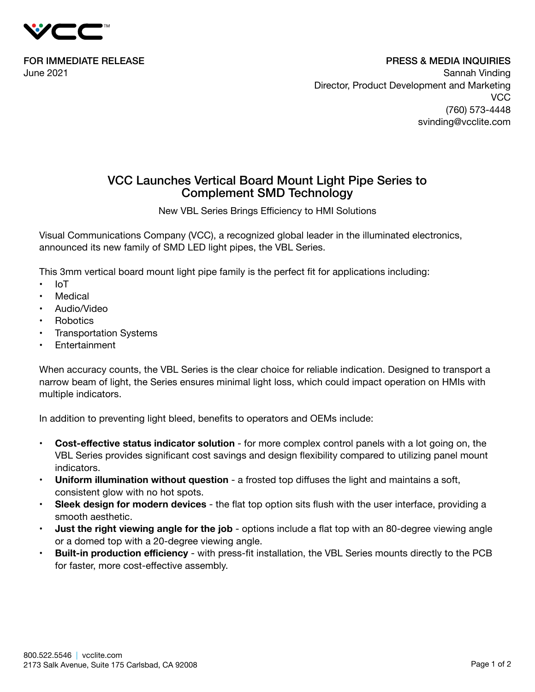

FOR IMMEDIATE RELEASE June 2021

PRESS & MEDIA INQUIRIES Sannah Vinding Director, Product Development and Marketing **VCC** (760) 573-4448 svinding@vcclite.com

## VCC Launches Vertical Board Mount Light Pipe Series to Complement SMD Technology

New VBL Series Brings Efficiency to HMI Solutions

Visual Communications Company (VCC), a recognized global leader in the illuminated electronics, announced its new family of SMD LED light pipes, the VBL Series.

This 3mm vertical board mount light pipe family is the perfect fit for applications including:

- IoT
- Medical
- Audio/Video
- Robotics
- **Transportation Systems**
- Entertainment

When accuracy counts, the VBL Series is the clear choice for reliable indication. Designed to transport a narrow beam of light, the Series ensures minimal light loss, which could impact operation on HMIs with multiple indicators.

In addition to preventing light bleed, benefits to operators and OEMs include:

- **• Cost-effective status indicator solution** for more complex control panels with a lot going on, the VBL Series provides significant cost savings and design flexibility compared to utilizing panel mount indicators.
- **• Uniform illumination without question** a frosted top diffuses the light and maintains a soft, consistent glow with no hot spots.
- **• Sleek design for modern devices** the flat top option sits flush with the user interface, providing a smooth aesthetic.
- **• Just the right viewing angle for the job** options include a flat top with an 80-degree viewing angle or a domed top with a 20-degree viewing angle.
- **• Built-in production efficiency** with press-fit installation, the VBL Series mounts directly to the PCB for faster, more cost-effective assembly.